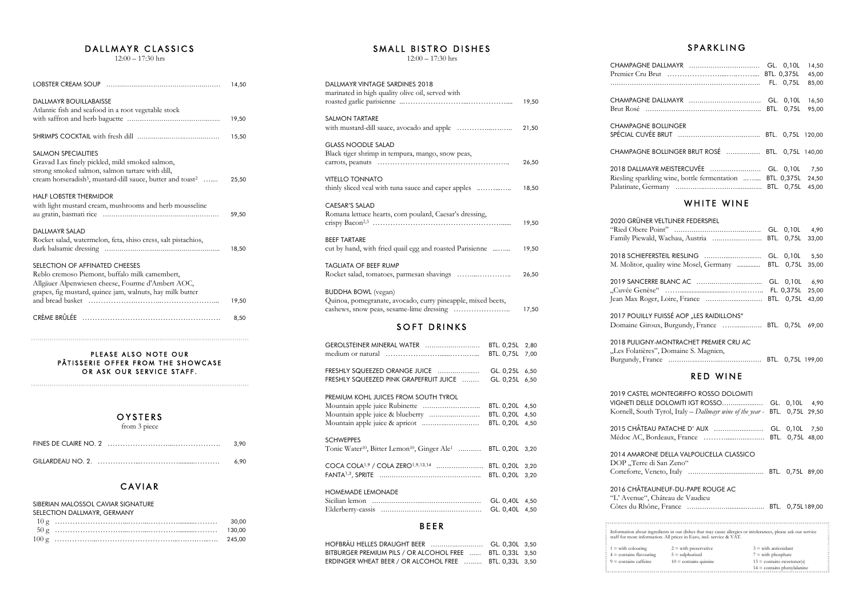## DALLMAYR CLASSICS

 $12:00 - 17:30$  hrs

|                                                                                                                                       | 14,50 |
|---------------------------------------------------------------------------------------------------------------------------------------|-------|
| <b>DALLMAYR BOUILLABAISSE</b><br>Atlantic fish and seafood in a root vegetable stock                                                  |       |
|                                                                                                                                       | 19,50 |
|                                                                                                                                       | 15,50 |
| <b>SALMON SPECIALITIES</b><br>Gravad Lax finely pickled, mild smoked salmon,                                                          |       |
| strong smoked salmon, salmon tartare with dill,<br>cream horseradish <sup>5</sup> , mustard-dill sauce, butter and toast <sup>2</sup> | 25,50 |
| <b>HALF LOBSTER THERMIDOR</b><br>with light mustard cream, mushrooms and herb mousseline                                              |       |
|                                                                                                                                       | 59,50 |
| DALLMAYR SALAD<br>Rocket salad, watermelon, feta, shiso cress, salt pistachios,                                                       |       |
|                                                                                                                                       | 18,50 |
| SELECTION OF AFFINATED CHEESES<br>Reblo cremoso Piemont, buffalo milk camembert,                                                      |       |
| Allgäuer Alpenwiesen cheese, Fourme d'Ambert AOC,<br>grapes, fig mustard, quince jam, walnuts, hay milk butter                        |       |
|                                                                                                                                       | 19,50 |
|                                                                                                                                       | 8,50  |

## PLEASE ALSO NOTE OUR PÂTISSERIE OFFER FROM THE SHOWCASE OR ASK OUR SERVICE STAFF.

## OYSTERS

from 3 piece

| 3.90 |
|------|
| 6.90 |

# **CAVIAR**

#### SIBERIAN MALOSSOL CAVIAR SIGNATURE

|     | SELECTION DALLMAYR, GERMANY |
|-----|-----------------------------|
| 10g |                             |

|  | 30.00 |
|--|-------|
|  |       |
|  |       |

## SMALL BISTRO DISHES

12:00 – 17:30 hrs

| DALLMAYR VINTAGE SARDINES 2018<br>marinated in high quality olive oil, served with        |                                             | 19,50        |  |
|-------------------------------------------------------------------------------------------|---------------------------------------------|--------------|--|
| <b>SALMON TARTARE</b>                                                                     |                                             | 21,50        |  |
| <b>GLASS NOODLE SALAD</b><br>Black tiger shrimp in tempura, mango, snow peas,             |                                             | 26,50        |  |
| <b>VITELLO TONNATO</b><br>thinly sliced veal with tuna sauce and caper apples             |                                             | 18,50        |  |
| CAESAR'S SALAD<br>Romana lettuce hearts, corn poulard, Caesar's dressing,                 |                                             | 19,50        |  |
| <b>BEEF TARTARE</b><br>cut by hand, with fried quail egg and roasted Parisienne           |                                             |              |  |
| TAGLIATA OF BEEF RUMP                                                                     |                                             | 26,50        |  |
| <b>BUDDHA BOWL</b> (vegan)<br>Quinoa, pomegranate, avocado, curry pineapple, mixed beets, |                                             |              |  |
| <b>SOFT DRINKS</b>                                                                        |                                             |              |  |
| GEROLSTEINER MINERAL WATER                                                                | BTL. 0,25L<br>BTL. 0,75L 7,00               | 2,80         |  |
| FRESHLY SQUEEZED ORANGE JUICE<br>FRESHLY SQUEEZED PINK GRAPEFRUIT JUICE                   | GL. 0,25L 6,50<br>GL. 0,25L 6,50            |              |  |
| PREMIUM KOHL JUICES FROM SOUTH TYROL                                                      | BTL. 0,20L 4,50<br>BTL. 0,20L<br>BTL. 0,20L | 4,50<br>4,50 |  |
|                                                                                           |                                             |              |  |

## SCHWEPPES

| Tonic Water <sup>10</sup> , Bitter Lemon <sup>10</sup> , Ginger Ale <sup>1</sup> BTL. 0,20L 3,20 |  |
|--------------------------------------------------------------------------------------------------|--|
| COCA COLA <sup>1,9</sup> / COLA ZERO <sup>1,9,13,14</sup> BTL. 0,20L 3,20                        |  |

## HOMEMADE LEMONADE Sicilian lemon -------...--------- GL. 0,40L 4,50Elderberry-cassis --------.-.------ GL. 0,40L 4,50

# B E E <sup>R</sup>

| HOFBRÄU HELLES DRAUGHT BEER  GL. 0,30L 3,50                         |  |
|---------------------------------------------------------------------|--|
| BITBURGER PREMIUM PILS / OR ALCOHOL FREE         BTL. 0,33L    3,50 |  |
| ERDINGER WHEAT BEER / OR ALCOHOL FREE       BTL. 0,33L   3,50       |  |

CHAMPAGNE Premier Cru

. . . . . . . . . . . . . . . . .

CHAMPAGNE Brut Rosé...

CHAMPAGNE SPÉCIAL CUVI

**CHAMPAGNE** 

2018 DALLMA Riesling spark Palatinate, Go

2020 GRÜNE "Ried Obere Family Piewa

2018 SCHIEF M. Molitor, q

2019 SANCER "Cuvée Genè Jean Max Rog

2017 POUILLY Domaine Gir

2018 PULIGN "Les Folatière Burgundy, Fra

#### Information about in staff for more information.

# **SPARKLING**

| EDALLMAYR  GL. 0,10L 14,50                         |  |       |
|----------------------------------------------------|--|-------|
|                                                    |  |       |
|                                                    |  | 85,00 |
| EDALLMAYR  GL. 0,10L 16,50                         |  |       |
|                                                    |  |       |
| <b>E BOLLINGER</b>                                 |  |       |
|                                                    |  |       |
| E BOLLINGER BRUT ROSÉ  BTL. 0,75L 140,00           |  |       |
| AYR MEISTERCUVÉE  GL. 0,10L 7,50                   |  |       |
| kling wine, bottle fermentation  BTL. 0,375L 24,50 |  |       |
|                                                    |  | 45,00 |
|                                                    |  |       |

# WHITE WINE

| R VELTLINER FEDERSPIEL                                                     |  |  |
|----------------------------------------------------------------------------|--|--|
|                                                                            |  |  |
| ld, Wachau, Austria  BTL. 0,75L 33,00                                      |  |  |
| ERSTEIL RIESLING  GL. 0,10L 5,50                                           |  |  |
| quality wine Mosel, Germany  BTL. 0,75L 35,00                              |  |  |
|                                                                            |  |  |
|                                                                            |  |  |
|                                                                            |  |  |
| Y FUISSÉ AOP "LES RAIDILLONS".<br>roux, Burgundy, France  BTL. 0,75L 69,00 |  |  |
| IY-MONTRACHET PREMIER CRU AC                                               |  |  |

| es", Domaine S. Magnien, |                   |  |
|--------------------------|-------------------|--|
| ance ……………………………………………   | BTL. 0,75L 199,00 |  |

# **RED WINE**

|                                                                                                                                                                                      | 2019 CASTEL MONTEGRIFFO ROSSO DOLOMITI<br>VIGNETI DELLE DOLOMITI IGT ROSSO<br>Kornell, South Tyrol, Italy – Dallmayr wine of the year - |  |                        | GL. 0,10L 4,90<br>BTL. 0,75L 29,50 |  |
|--------------------------------------------------------------------------------------------------------------------------------------------------------------------------------------|-----------------------------------------------------------------------------------------------------------------------------------------|--|------------------------|------------------------------------|--|
|                                                                                                                                                                                      | 2015 CHÂTEAU PATACHE D' AUX                                                                                                             |  |                        | GL. 0,10L 7,50<br>BTL. 0,75L 48,00 |  |
| DOP "Terre di San Zeno"                                                                                                                                                              | 2014 AMARONE DELLA VALPOLICELLA CLASSICO                                                                                                |  |                        |                                    |  |
| "L' Avenue", Château de Vaudieu                                                                                                                                                      | 2016 CHÂTEAUNEUF-DU-PAPE ROUGE AC                                                                                                       |  |                        |                                    |  |
| Information about ingredients in our dishes that may cause allergies or intolerances, please ask our service<br>staff for more information. All prices in Euro, incl. service & VAT. |                                                                                                                                         |  |                        |                                    |  |
| $1 =$ with colouring                                                                                                                                                                 | $2 =$ with preservative                                                                                                                 |  | $3 =$ with antioxidant |                                    |  |
| $4 =$ contains flavouring                                                                                                                                                            | $5 =$ sulphurised                                                                                                                       |  | $7 =$ with phosphate   |                                    |  |
| $9 =$ contains caffeine                                                                                                                                                              | $10 =$ contains quinine<br>$13 =$ contains sweetener(s)                                                                                 |  |                        |                                    |  |
|                                                                                                                                                                                      |                                                                                                                                         |  |                        | $14 =$ contains phenylalanine      |  |